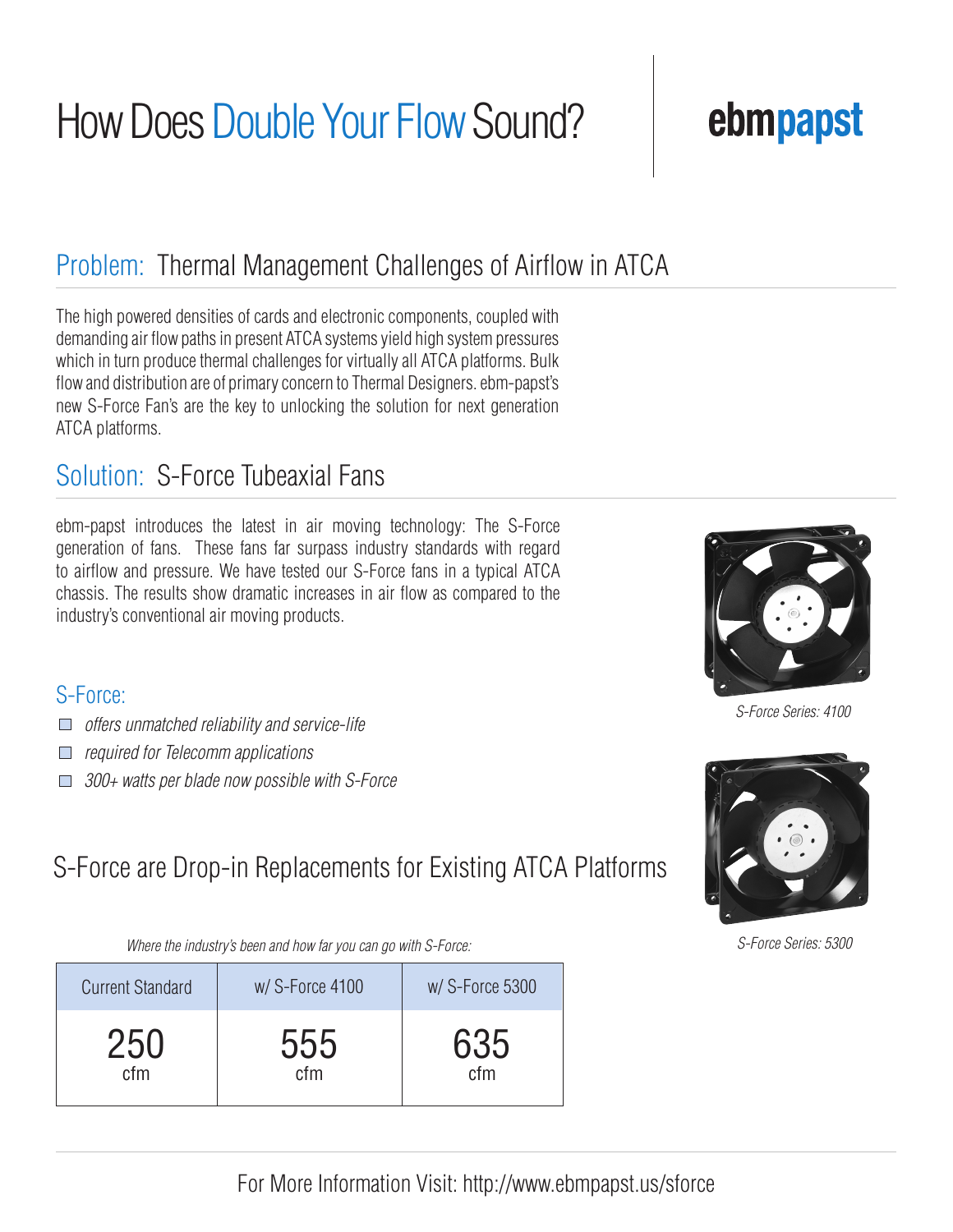# How Does Double Your Flow Sound?

### Problem: Thermal Management Challenges of Airflow in ATCA

The high powered densities of cards and electronic components, coupled with demanding air flow paths in present ATCA systems yield high system pressures which in turn produce thermal challenges for virtually all ATCA platforms. Bulk flow and distribution are of primary concern to Thermal Designers. ebm-papst's new S-Force Fan's are the key to unlocking the solution for next generation ATCA platforms.

### Solution: S-Force Tubeaxial Fans

ebm-papst introduces the latest in air moving technology: The S-Force generation of fans. These fans far surpass industry standards with regard to airflow and pressure. We have tested our S-Force fans in a typical ATCA chassis. The results show dramatic increases in air flow as compared to the industry's conventional air moving products.

#### S-Force:

- *offers unmatched reliability and service-life*
- *required for Telecomm applications*
- *300+ watts per blade now possible with S-Force*

### S-Force are Drop-in Replacements for Existing ATCA Platforms

*Where the industry's been and how far you can go with S-Force:*

| <b>Current Standard</b> | w/S-Force 4100 | w/S-Force 5300 |
|-------------------------|----------------|----------------|
| 250                     | 555            | 635            |
| cfm                     | cfm            | cfm            |

ebmpapst

*S-Force Series: 4100*